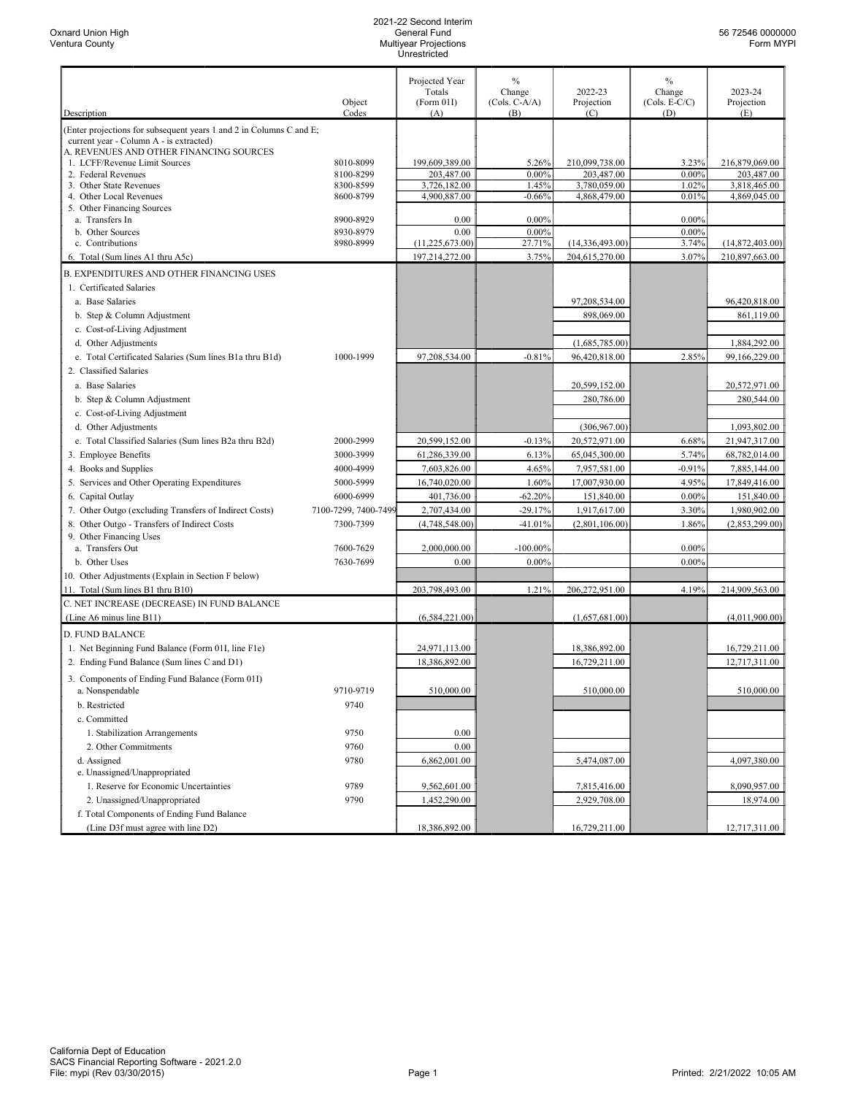## 2021-22 Second Interim General Fund Multiyear Projections Unrestricted

|                                                                          |                      | Projected Year<br>Totals | $\frac{0}{0}$<br>Change | 2022-23           | $\frac{0}{0}$<br>Change | 2023-24         |
|--------------------------------------------------------------------------|----------------------|--------------------------|-------------------------|-------------------|-------------------------|-----------------|
|                                                                          | Object               | (Form 01I)               | $(Cols. C-A/A)$         | Projection        | $(Cols. E-C/C)$         | Projection      |
| Description                                                              | Codes                | (A)                      | (B)                     | (C)               | (D)                     | (E)             |
| (Enter projections for subsequent years 1 and 2 in Columns C and E;      |                      |                          |                         |                   |                         |                 |
| current year - Column A - is extracted)                                  |                      |                          |                         |                   |                         |                 |
| A. REVENUES AND OTHER FINANCING SOURCES<br>1. LCFF/Revenue Limit Sources | 8010-8099            | 199,609,389.00           | 5.26%                   | 210,099,738.00    | 3.23%                   | 216,879,069.00  |
| 2. Federal Revenues                                                      | 8100-8299            | 203,487.00               | $0.00\%$                | 203,487.00        | 0.00%                   | 203,487.00      |
| 3. Other State Revenues                                                  | 8300-8599            | 3,726,182.00             | 1.45%                   | 3,780,059.00      | 1.02%                   | 3,818,465.00    |
| 4. Other Local Revenues                                                  | 8600-8799            | 4,900,887.00             | $-0.66%$                | 4,868,479.00      | 0.01%                   | 4,869,045.00    |
| 5. Other Financing Sources                                               | 8900-8929            | 0.00                     | $0.00\%$                |                   | $0.00\%$                |                 |
| a. Transfers In<br>b. Other Sources                                      | 8930-8979            | 0.00                     | $0.00\%$                |                   | 0.00%                   |                 |
| c. Contributions                                                         | 8980-8999            | (11, 225, 673.00)        | 27.71%                  | (14, 336, 493.00) | 3.74%                   | (14,872,403.00) |
| 6. Total (Sum lines A1 thru A5c)                                         |                      | 197,214,272.00           | 3.75%                   | 204,615,270.00    | 3.07%                   | 210,897,663.00  |
| B. EXPENDITURES AND OTHER FINANCING USES                                 |                      |                          |                         |                   |                         |                 |
| 1. Certificated Salaries                                                 |                      |                          |                         |                   |                         |                 |
| a. Base Salaries                                                         |                      |                          |                         | 97,208,534.00     |                         | 96,420,818.00   |
| b. Step & Column Adjustment                                              |                      |                          |                         | 898,069.00        |                         | 861,119.00      |
| c. Cost-of-Living Adjustment                                             |                      |                          |                         |                   |                         |                 |
| d. Other Adjustments                                                     |                      |                          |                         | (1,685,785.00)    |                         | 1,884,292.00    |
| e. Total Certificated Salaries (Sum lines B1a thru B1d)                  | 1000-1999            | 97,208,534.00            | $-0.81%$                | 96,420,818.00     | 2.85%                   | 99,166,229.00   |
| 2. Classified Salaries                                                   |                      |                          |                         |                   |                         |                 |
| a. Base Salaries                                                         |                      |                          |                         | 20,599,152.00     |                         | 20,572,971.00   |
| b. Step & Column Adjustment                                              |                      |                          |                         | 280,786.00        |                         | 280,544.00      |
| c. Cost-of-Living Adjustment                                             |                      |                          |                         |                   |                         |                 |
|                                                                          |                      |                          |                         | (306, 967.00)     |                         | 1,093,802.00    |
| d. Other Adjustments                                                     | 2000-2999            | 20,599,152.00            |                         |                   |                         |                 |
| e. Total Classified Salaries (Sum lines B2a thru B2d)                    |                      |                          | $-0.13%$                | 20,572,971.00     | 6.68%                   | 21,947,317.00   |
| 3. Employee Benefits                                                     | 3000-3999            | 61,286,339.00            | 6.13%                   | 65,045,300.00     | 5.74%                   | 68,782,014.00   |
| 4. Books and Supplies                                                    | 4000-4999            | 7,603,826.00             | 4.65%                   | 7,957,581.00      | $-0.91%$                | 7,885,144.00    |
| 5. Services and Other Operating Expenditures                             | 5000-5999            | 16,740,020.00            | 1.60%                   | 17,007,930.00     | 4.95%                   | 17,849,416.00   |
| 6. Capital Outlay                                                        | 6000-6999            | 401,736.00               | $-62.20%$               | 151,840.00        | $0.00\%$                | 151,840.00      |
| 7. Other Outgo (excluding Transfers of Indirect Costs)                   | 7100-7299, 7400-7499 | 2,707,434.00             | $-29.17%$               | 1,917,617.00      | 3.30%                   | 1,980,902.00    |
| 8. Other Outgo - Transfers of Indirect Costs<br>9. Other Financing Uses  | 7300-7399            | (4,748,548.00)           | $-41.01%$               | (2,801,106.00)    | 1.86%                   | (2,853,299.00)  |
| a. Transfers Out                                                         | 7600-7629            | 2,000,000.00             | $-100.00\%$             |                   | $0.00\%$                |                 |
| b. Other Uses                                                            | 7630-7699            | 0.00                     | $0.00\%$                |                   | $0.00\%$                |                 |
| 10. Other Adjustments (Explain in Section F below)                       |                      |                          |                         |                   |                         |                 |
| 11. Total (Sum lines B1 thru B10)                                        |                      | 203,798,493.00           | 1.21%                   | 206,272,951.00    | 4.19%                   | 214,909,563.00  |
| C. NET INCREASE (DECREASE) IN FUND BALANCE                               |                      |                          |                         |                   |                         |                 |
| (Line A6 minus line B11)                                                 |                      | (6,584,221.00)           |                         | (1,657,681.00)    |                         | (4,011,900.00)  |
| <b>D. FUND BALANCE</b>                                                   |                      |                          |                         |                   |                         |                 |
| 1. Net Beginning Fund Balance (Form 01I, line F1e)                       |                      | 24,971,113.00            |                         | 18,386,892.00     |                         | 16,729,211.00   |
| 2. Ending Fund Balance (Sum lines C and D1)                              |                      | 18,386,892.00            |                         | 16,729,211.00     |                         | 12,717,311.00   |
|                                                                          |                      |                          |                         |                   |                         |                 |
| 3. Components of Ending Fund Balance (Form 01I)<br>a. Nonspendable       | 9710-9719            | 510,000.00               |                         | 510,000.00        |                         | 510,000.00      |
| b. Restricted                                                            | 9740                 |                          |                         |                   |                         |                 |
| c. Committed                                                             |                      |                          |                         |                   |                         |                 |
| 1. Stabilization Arrangements                                            | 9750                 | 0.00                     |                         |                   |                         |                 |
| 2. Other Commitments                                                     | 9760                 | 0.00                     |                         |                   |                         |                 |
| d. Assigned                                                              | 9780                 | 6,862,001.00             |                         | 5,474,087.00      |                         | 4,097,380.00    |
| e. Unassigned/Unappropriated                                             |                      |                          |                         |                   |                         |                 |
| 1. Reserve for Economic Uncertainties                                    | 9789                 | 9,562,601.00             |                         | 7,815,416.00      |                         | 8,090,957.00    |
| 2. Unassigned/Unappropriated                                             | 9790                 | 1,452,290.00             |                         | 2,929,708.00      |                         | 18,974.00       |
| f. Total Components of Ending Fund Balance                               |                      |                          |                         |                   |                         |                 |
| (Line D3f must agree with line D2)                                       |                      | 18,386,892.00            |                         | 16,729,211.00     |                         | 12,717,311.00   |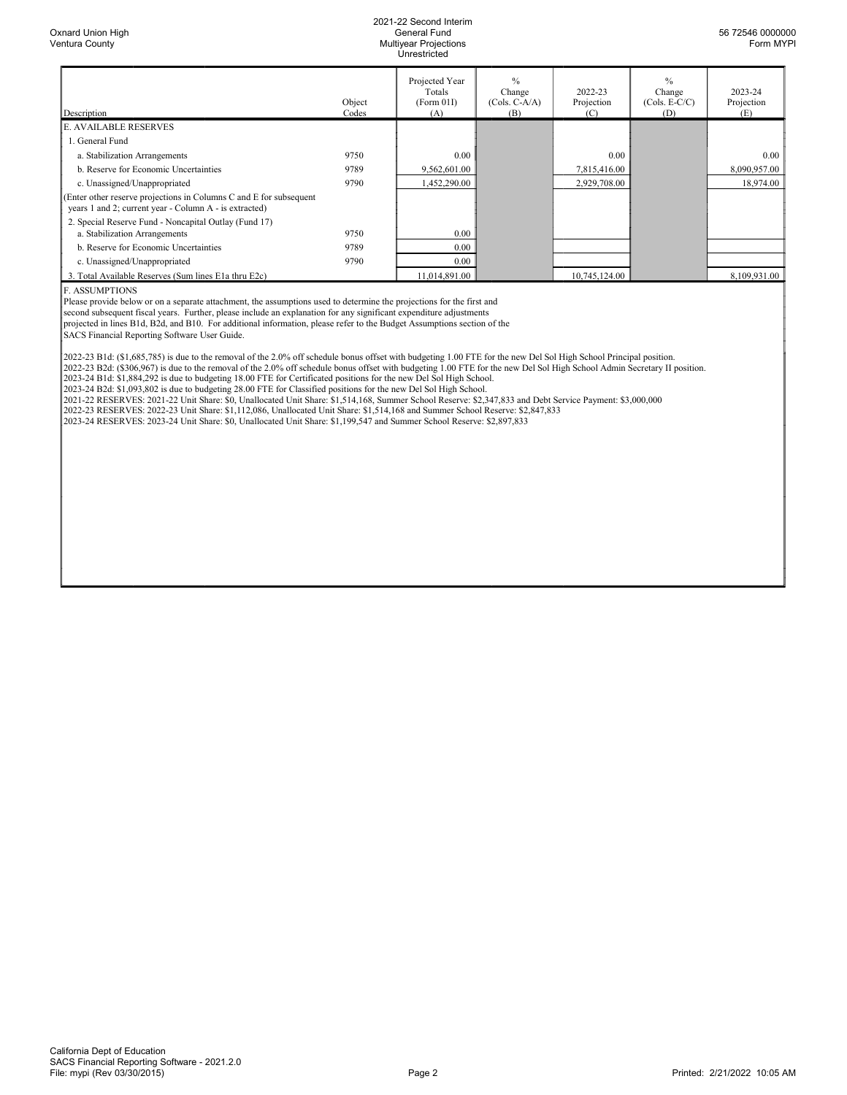## 2021-22 Second Interim General Fund Multiyear Projections Unrestricted

| Description                                                                                                                  | Object<br>Codes | Projected Year<br>Totals<br>(Form 01I)<br>(A) | $\frac{0}{0}$<br>Change<br>$(Cols. C-A/A)$<br>(B) | 2022-23<br>Projection<br>(C) | $^{0}/_{0}$<br>Change<br>$(Cols. E-C/C)$<br>(D) | 2023-24<br>Projection<br>(E) |
|------------------------------------------------------------------------------------------------------------------------------|-----------------|-----------------------------------------------|---------------------------------------------------|------------------------------|-------------------------------------------------|------------------------------|
| <b>E. AVAILABLE RESERVES</b>                                                                                                 |                 |                                               |                                                   |                              |                                                 |                              |
| 1. General Fund                                                                                                              |                 |                                               |                                                   |                              |                                                 |                              |
| a. Stabilization Arrangements                                                                                                | 9750            | 0.00                                          |                                                   | 0.00                         |                                                 | 0.00                         |
| b. Reserve for Economic Uncertainties                                                                                        | 9789            | 9,562,601.00                                  |                                                   | 7,815,416.00                 |                                                 | 8,090,957.00                 |
| c. Unassigned/Unappropriated                                                                                                 | 9790            | 1,452,290.00                                  |                                                   | 2,929,708.00                 |                                                 | 18,974.00                    |
| (Enter other reserve projections in Columns C and E for subsequent<br>years 1 and 2; current year - Column A - is extracted) |                 |                                               |                                                   |                              |                                                 |                              |
| 2. Special Reserve Fund - Noncapital Outlay (Fund 17)                                                                        |                 |                                               |                                                   |                              |                                                 |                              |
| a. Stabilization Arrangements                                                                                                | 9750            | 0.00                                          |                                                   |                              |                                                 |                              |
| b. Reserve for Economic Uncertainties                                                                                        | 9789            | 0.00                                          |                                                   |                              |                                                 |                              |
| c. Unassigned/Unappropriated                                                                                                 | 9790            | 0.00                                          |                                                   |                              |                                                 |                              |
| 3. Total Available Reserves (Sum lines E1a thru E2c)                                                                         |                 | 11,014,891.00                                 |                                                   | 10,745,124.00                |                                                 | 8,109,931.00                 |

. ASSUMPTIONS

Please provide below or on a separate attachment, the assumptions used to determine the projections for the first and

second subsequent fiscal years. Further, please include an explanation for any significant expenditure adjustments

projected in lines B1d, B2d, and B10. For additional information, please refer to the Budget Assumptions section of the

SACS Financial Reporting Software User Guide.

2022-23 B1d: (\$1,685,785) is due to the removal of the 2.0% off schedule bonus offset with budgeting 1.00 FTE for the new Del Sol High School Principal position.

2022-23 B2d: (\$306,967) is due to the removal of the 2.0% off schedule bonus offset with budgeting 1.00 FTE for the new Del Sol High School Admin Secretary II position.

2023-24 B1d: \$1,884,292 is due to budgeting 18.00 FTE for Certificated positions for the new Del Sol High School.

2023-24 B2d: \$1,093,802 is due to budgeting 28.00 FTE for Classified positions for the new Del Sol High School.

2021-22 RESERVES: 2021-22 Unit Share: \$0, Unallocated Unit Share: \$1,514,168, Summer School Reserve: \$2,347,833 and Debt Service Payment: \$3,000,000<br>2022-23 RESERVES: 2022-23 Unit Share: \$1,112,086, Unallocated Unit Share: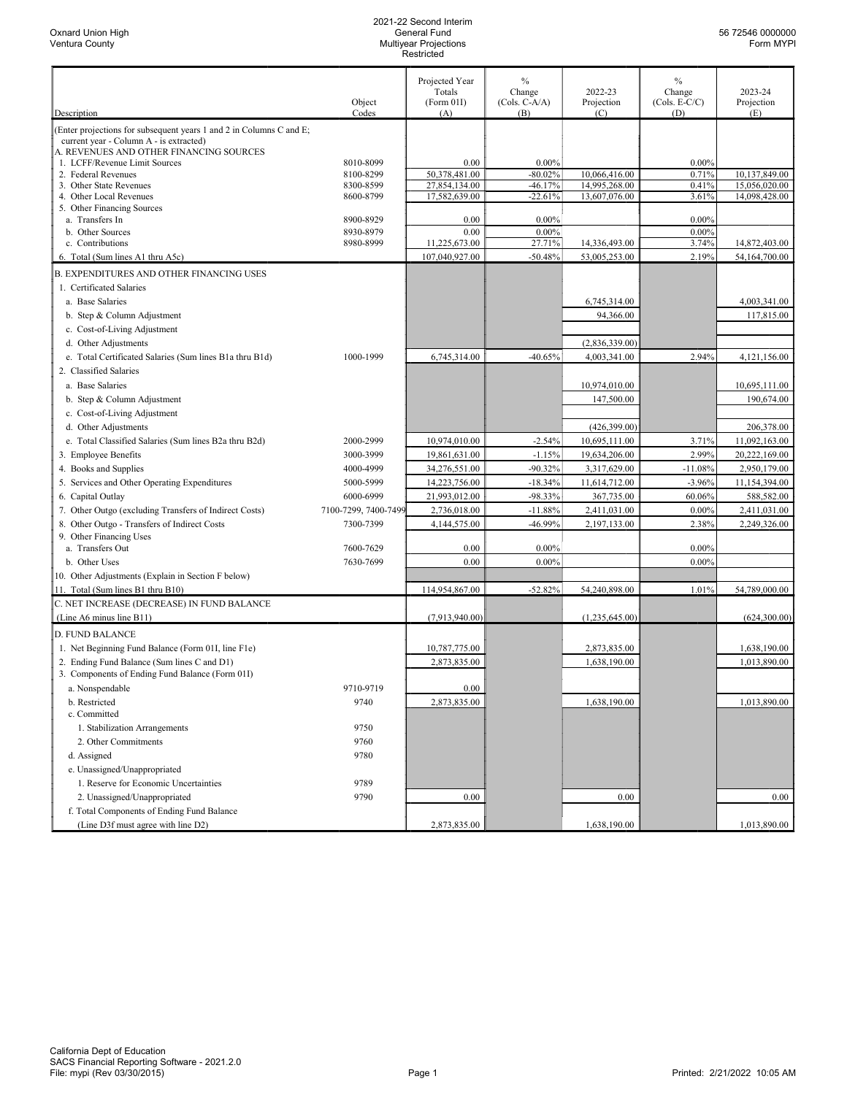## 2021-22 Second Interim General Fund Multiyear Projections Restricted

|                                                                                                                |                      | Projected Year    | $\frac{0}{0}$          |                   | $\frac{0}{0}$          |                   |
|----------------------------------------------------------------------------------------------------------------|----------------------|-------------------|------------------------|-------------------|------------------------|-------------------|
|                                                                                                                |                      | Totals            | Change                 | 2022-23           | Change                 | 2023-24           |
| Description                                                                                                    | Object<br>Codes      | (Form 01I)<br>(A) | $(Cols. C-A/A)$<br>(B) | Projection<br>(C) | $(Cols. E-C/C)$<br>(D) | Projection<br>(E) |
|                                                                                                                |                      |                   |                        |                   |                        |                   |
| (Enter projections for subsequent years 1 and 2 in Columns C and E;<br>current year - Column A - is extracted) |                      |                   |                        |                   |                        |                   |
| A. REVENUES AND OTHER FINANCING SOURCES                                                                        |                      |                   |                        |                   |                        |                   |
| 1. LCFF/Revenue Limit Sources                                                                                  | 8010-8099            | 0.00              | 0.00%                  |                   | $0.00\%$               |                   |
| 2. Federal Revenues                                                                                            | 8100-8299            | 50,378,481.00     | $-80.02%$              | 10,066,416.00     | 0.71%                  | 10,137,849.00     |
| 3. Other State Revenues                                                                                        | 8300-8599            | 27,854,134.00     | $-46.17%$<br>$-22.61%$ | 14,995,268.00     | 0.41%<br>3.61%         | 15,056,020.00     |
| 4. Other Local Revenues<br>5. Other Financing Sources                                                          | 8600-8799            | 17,582,639.00     |                        | 13,607,076.00     |                        | 14,098,428.00     |
| a. Transfers In                                                                                                | 8900-8929            | 0.00              | $0.00\%$               |                   | $0.00\%$               |                   |
| b. Other Sources                                                                                               | 8930-8979            | 0.00              | 0.00%                  |                   | $0.00\%$               |                   |
| c. Contributions                                                                                               | 8980-8999            | 11,225,673.00     | 27.71%                 | 14,336,493.00     | 3.74%                  | 14,872,403.00     |
| 6. Total (Sum lines A1 thru A5c)                                                                               |                      | 107,040,927.00    | $-50.48%$              | 53,005,253.00     | 2.19%                  | 54,164,700.00     |
| B. EXPENDITURES AND OTHER FINANCING USES                                                                       |                      |                   |                        |                   |                        |                   |
| 1. Certificated Salaries                                                                                       |                      |                   |                        |                   |                        |                   |
| a. Base Salaries                                                                                               |                      |                   |                        | 6,745,314.00      |                        | 4,003,341.00      |
| b. Step & Column Adjustment                                                                                    |                      |                   |                        | 94,366.00         |                        | 117,815.00        |
| c. Cost-of-Living Adjustment                                                                                   |                      |                   |                        |                   |                        |                   |
| d. Other Adjustments                                                                                           |                      |                   |                        | (2,836,339.00)    |                        |                   |
| e. Total Certificated Salaries (Sum lines B1a thru B1d)                                                        | 1000-1999            | 6,745,314.00      | $-40.65%$              | 4,003,341.00      | 2.94%                  | 4,121,156.00      |
| 2. Classified Salaries                                                                                         |                      |                   |                        |                   |                        |                   |
| a. Base Salaries                                                                                               |                      |                   |                        | 10,974,010.00     |                        | 10,695,111.00     |
|                                                                                                                |                      |                   |                        |                   |                        |                   |
| b. Step & Column Adjustment                                                                                    |                      |                   |                        | 147,500.00        |                        | 190,674.00        |
| c. Cost-of-Living Adjustment                                                                                   |                      |                   |                        |                   |                        |                   |
| d. Other Adjustments                                                                                           |                      |                   |                        | (426,399.00)      |                        | 206,378.00        |
| e. Total Classified Salaries (Sum lines B2a thru B2d)                                                          | 2000-2999            | 10,974,010.00     | $-2.54%$               | 10,695,111.00     | 3.71%                  | 11,092,163.00     |
| 3. Employee Benefits                                                                                           | 3000-3999            | 19,861,631.00     | $-1.15%$               | 19,634,206.00     | 2.99%                  | 20,222,169.00     |
| 4. Books and Supplies                                                                                          | 4000-4999            | 34,276,551.00     | $-90.32%$              | 3,317,629.00      | $-11.08%$              | 2,950,179.00      |
| 5. Services and Other Operating Expenditures                                                                   | 5000-5999            | 14,223,756.00     | $-18.34%$              | 11,614,712.00     | $-3.96%$               | 11,154,394.00     |
| 6. Capital Outlay                                                                                              | 6000-6999            | 21,993,012.00     | -98.33%                | 367,735.00        | 60.06%                 | 588,582.00        |
| 7. Other Outgo (excluding Transfers of Indirect Costs)                                                         | 7100-7299, 7400-7499 | 2,736,018.00      | $-11.88%$              | 2,411,031.00      | $0.00\%$               | 2,411,031.00      |
| 8. Other Outgo - Transfers of Indirect Costs                                                                   | 7300-7399            | 4,144,575.00      | -46.99%                | 2,197,133.00      | 2.38%                  | 2,249,326.00      |
| 9. Other Financing Uses                                                                                        |                      |                   |                        |                   |                        |                   |
| a. Transfers Out                                                                                               | 7600-7629            | 0.00              | $0.00\%$               |                   | $0.00\%$               |                   |
| b. Other Uses                                                                                                  | 7630-7699            | 0.00              | 0.00%                  |                   | $0.00\%$               |                   |
| 10. Other Adjustments (Explain in Section F below)                                                             |                      |                   |                        |                   |                        |                   |
| 11. Total (Sum lines B1 thru B10)                                                                              |                      | 114,954,867.00    | $-52.82%$              | 54,240,898.00     | 1.01%                  | 54,789,000.00     |
| C. NET INCREASE (DECREASE) IN FUND BALANCE                                                                     |                      |                   |                        |                   |                        |                   |
| (Line A6 minus line B11)                                                                                       |                      | (7,913,940.00)    |                        | (1,235,645.00)    |                        | (624,300.00)      |
| D. FUND BALANCE                                                                                                |                      |                   |                        |                   |                        |                   |
| 1. Net Beginning Fund Balance (Form 01I, line F1e)                                                             |                      | 10,787,775.00     |                        | 2,873,835.00      |                        | 1,638,190.00      |
| 2. Ending Fund Balance (Sum lines C and D1)                                                                    |                      | 2,873,835.00      |                        | 1,638,190.00      |                        | 1,013,890.00      |
| 3. Components of Ending Fund Balance (Form 01I)                                                                |                      |                   |                        |                   |                        |                   |
| a. Nonspendable                                                                                                | 9710-9719            | 0.00              |                        |                   |                        |                   |
| b. Restricted                                                                                                  | 9740                 | 2,873,835.00      |                        | 1,638,190.00      |                        | 1,013,890.00      |
| c. Committed                                                                                                   |                      |                   |                        |                   |                        |                   |
| 1. Stabilization Arrangements                                                                                  | 9750                 |                   |                        |                   |                        |                   |
| 2. Other Commitments                                                                                           | 9760                 |                   |                        |                   |                        |                   |
| d. Assigned                                                                                                    | 9780                 |                   |                        |                   |                        |                   |
| e. Unassigned/Unappropriated                                                                                   |                      |                   |                        |                   |                        |                   |
| 1. Reserve for Economic Uncertainties                                                                          | 9789                 |                   |                        |                   |                        |                   |
| 2. Unassigned/Unappropriated                                                                                   | 9790                 | 0.00              |                        | 0.00              |                        | 0.00              |
| f. Total Components of Ending Fund Balance                                                                     |                      |                   |                        |                   |                        |                   |
| (Line D3f must agree with line D2)                                                                             |                      | 2,873,835.00      |                        | 1,638,190.00      |                        | 1,013,890.00      |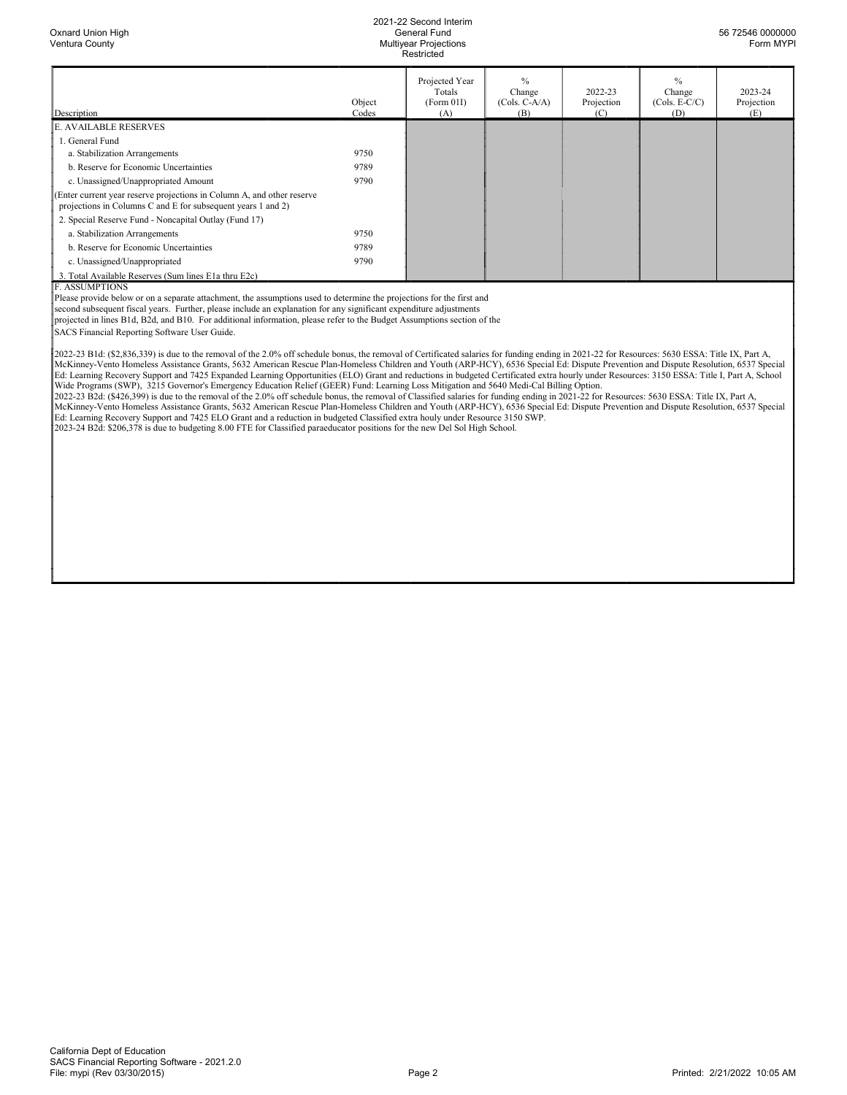## 2021-22 Second Interim General Fund Multiyear Projections **Restricted**

| Description                                                                                                                            | Object<br>Codes | Projected Year<br>Totals<br>(Form 01I)<br>(A) | $\frac{0}{0}$<br>Change<br>$(Cols. C-A/A)$<br>(B) | 2022-23<br>Projection<br>(C) | $\frac{0}{0}$<br>Change<br>$(Cols. E-C/C)$<br>(D) | 2023-24<br>Projection<br>(E) |
|----------------------------------------------------------------------------------------------------------------------------------------|-----------------|-----------------------------------------------|---------------------------------------------------|------------------------------|---------------------------------------------------|------------------------------|
| <b>E. AVAILABLE RESERVES</b>                                                                                                           |                 |                                               |                                                   |                              |                                                   |                              |
| . General Fund                                                                                                                         |                 |                                               |                                                   |                              |                                                   |                              |
| a. Stabilization Arrangements                                                                                                          | 9750            |                                               |                                                   |                              |                                                   |                              |
| b. Reserve for Economic Uncertainties                                                                                                  | 9789            |                                               |                                                   |                              |                                                   |                              |
| c. Unassigned/Unappropriated Amount                                                                                                    | 9790            |                                               |                                                   |                              |                                                   |                              |
| (Enter current year reserve projections in Column A, and other reserve<br>projections in Columns C and E for subsequent years 1 and 2) |                 |                                               |                                                   |                              |                                                   |                              |
| 2. Special Reserve Fund - Noncapital Outlay (Fund 17)                                                                                  |                 |                                               |                                                   |                              |                                                   |                              |
| a. Stabilization Arrangements                                                                                                          | 9750            |                                               |                                                   |                              |                                                   |                              |
| b. Reserve for Economic Uncertainties                                                                                                  | 9789            |                                               |                                                   |                              |                                                   |                              |
| c. Unassigned/Unappropriated                                                                                                           | 9790            |                                               |                                                   |                              |                                                   |                              |
| 3. Total Available Reserves (Sum lines E1a thru E2c)                                                                                   |                 |                                               |                                                   |                              |                                                   |                              |

F. ASSUMPTIONS

Please provide below or on a separate attachment, the assumptions used to determine the projections for the first and

second subsequent fiscal years. Further, please include an explanation for any significant expenditure adjustments

projected in lines B1d, B2d, and B10. For additional information, please refer to the Budget Assumptions section of the

SACS Financial Reporting Software User Guide.

2022-23 B1d: (\$2,836,339) is due to the removal of the 2.0% off schedule bonus, the removal of Certificated salaries for funding ending in 2021-22 for Resources: 5630 ESSA: Title IX, Part A, McKinney-Vento Homeless Assistance Grants, 5632 American Rescue Plan-Homeless Children and Youth (ARP-HCY), 6536 Special Ed: Dispute Prevention and Dispute Resolution, 6537 Special Ed: Learning Recovery Support and 7425 Expanded Learning Opportunities (ELO) Grant and reductions in budgeted Certificated extra hourly under Resources: 3150 ESSA: Title I, Part A, School Wide Programs (SWP), 3215 Governor's Emergency Education Relief (GEER) Fund: Learning Loss Mitigation and 5640 Medi-Cal Billing Option.

2022-23 B2d: (\$426,399) is due to the removal of the 2.0% off schedule bonus, the removal of Classified salaries for funding ending in 2021-22 for Resources: 5630 ESSA: Title IX, Part A, McKinney-Vento Homeless Assistance Grants, 5632 American Rescue Plan-Homeless Children and Youth (ARP-HCY), 6536 Special Ed: Dispute Prevention and Dispute Resolution, 6537 Special Ed: Learning Recovery Support and 7425 ELO Grant and a reduction in budgeted Classified extra houly under Resource 3150 SWP.<br>2023-24 B2d: \$206,378 is due to budgeting 8.00 FTE for Classified paraeducator positions for the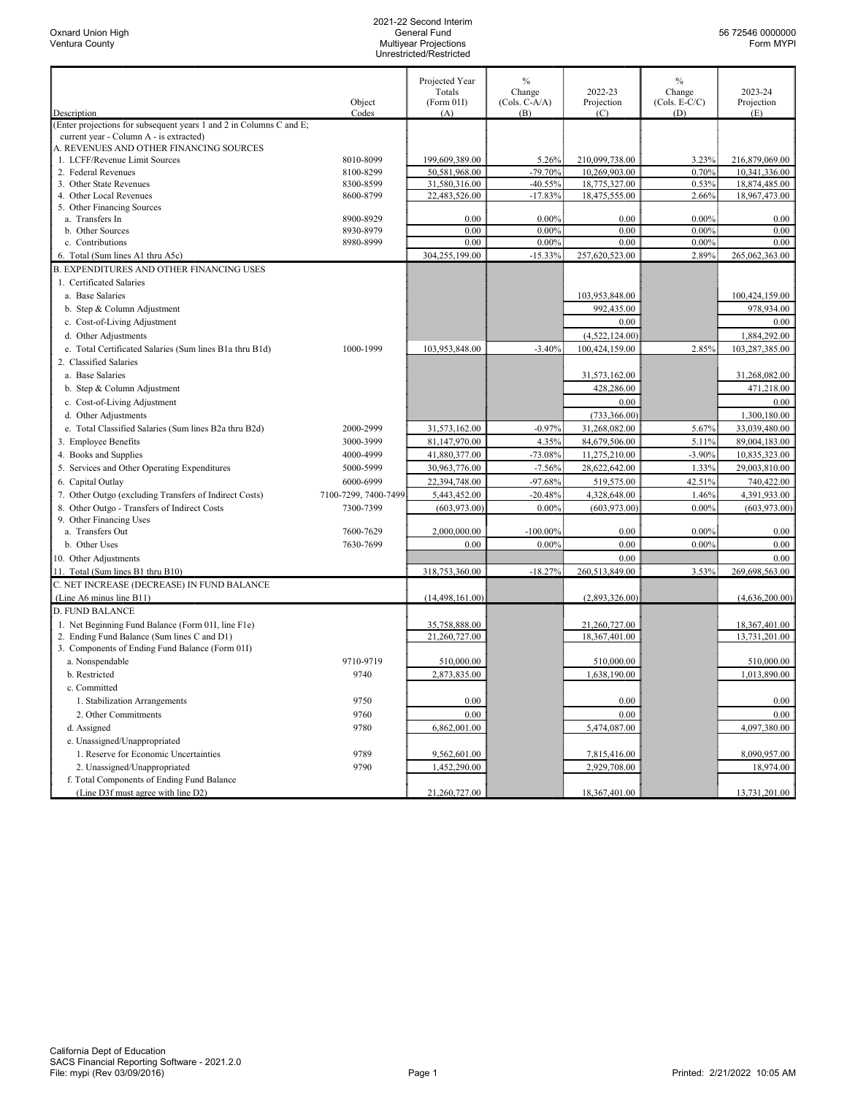|                                                                                    |                      | Projected Year    | $\frac{0}{0}$   |                | $\frac{0}{0}$   |                |
|------------------------------------------------------------------------------------|----------------------|-------------------|-----------------|----------------|-----------------|----------------|
|                                                                                    |                      | Totals            | Change          | 2022-23        | Change          | 2023-24        |
|                                                                                    | Object               | (Form 01I)        | $(Cols. C-A/A)$ | Projection     | $(Cols. E-C/C)$ | Projection     |
| Description<br>(Enter projections for subsequent years 1 and 2 in Columns C and E; | Codes                | (A)               | (B)             | (C)            | (D)             | (E)            |
| current year - Column A - is extracted)                                            |                      |                   |                 |                |                 |                |
| A. REVENUES AND OTHER FINANCING SOURCES                                            |                      |                   |                 |                |                 |                |
| 1. LCFF/Revenue Limit Sources                                                      | 8010-8099            | 199,609,389.00    | 5.26%           | 210,099,738.00 | 3.23%           | 216,879,069.00 |
| 2. Federal Revenues                                                                | 8100-8299            | 50,581,968.00     | $-79.70%$       | 10,269,903.00  | 0.70%           | 10,341,336.00  |
| 3. Other State Revenues                                                            | 8300-8599            | 31,580,316.00     | $-40.55%$       | 18,775,327.00  | 0.53%           | 18,874,485.00  |
| 4. Other Local Revenues                                                            | 8600-8799            | 22,483,526.00     | $-17.83%$       | 18,475,555.00  | 2.66%           | 18,967,473.00  |
| 5. Other Financing Sources                                                         |                      |                   |                 |                |                 |                |
| a. Transfers In                                                                    | 8900-8929            | 0.00              | $0.00\%$        | 0.00           | $0.00\%$        | 0.00           |
| b. Other Sources                                                                   | 8930-8979            | 0.00              | 0.00%           | 0.00           | $0.00\%$        | 0.00           |
| c. Contributions                                                                   | 8980-8999            | 0.00              | $0.00\%$        | 0.00           | $0.00\%$        | 0.00           |
| 6. Total (Sum lines A1 thru A5c)                                                   |                      | 304,255,199.00    | $-15.33%$       | 257,620,523.00 | 2.89%           | 265,062,363.00 |
| <b>B. EXPENDITURES AND OTHER FINANCING USES</b>                                    |                      |                   |                 |                |                 |                |
| 1. Certificated Salaries                                                           |                      |                   |                 |                |                 |                |
| a. Base Salaries                                                                   |                      |                   |                 | 103,953,848.00 |                 | 100,424,159.00 |
| b. Step & Column Adjustment                                                        |                      |                   |                 | 992,435.00     |                 | 978,934.00     |
| c. Cost-of-Living Adjustment                                                       |                      |                   |                 | 0.00           |                 | 0.00           |
| d. Other Adjustments                                                               |                      |                   |                 | (4,522,124.00) |                 | 1,884,292.00   |
| e. Total Certificated Salaries (Sum lines B1a thru B1d)                            | 1000-1999            | 103,953,848.00    | $-3.40%$        | 100,424,159.00 | 2.85%           | 103,287,385.00 |
| 2. Classified Salaries                                                             |                      |                   |                 |                |                 |                |
| a. Base Salaries                                                                   |                      |                   |                 | 31,573,162.00  |                 | 31,268,082.00  |
| b. Step & Column Adjustment                                                        |                      |                   |                 | 428,286.00     |                 | 471,218.00     |
| c. Cost-of-Living Adjustment                                                       |                      |                   |                 | 0.00           |                 | 0.00           |
| d. Other Adjustments                                                               |                      |                   |                 | (733, 366.00)  |                 | 1,300,180.00   |
| e. Total Classified Salaries (Sum lines B2a thru B2d)                              | 2000-2999            | 31,573,162.00     | $-0.97%$        | 31,268,082.00  | 5.67%           | 33,039,480.00  |
| 3. Employee Benefits                                                               | 3000-3999            | 81,147,970.00     | 4.35%           | 84,679,506.00  | 5.11%           | 89,004,183.00  |
| 4. Books and Supplies                                                              | 4000-4999            | 41,880,377.00     | $-73.08%$       | 11,275,210.00  | $-3.90%$        | 10,835,323.00  |
| 5. Services and Other Operating Expenditures                                       | 5000-5999            | 30,963,776.00     | $-7.56%$        | 28,622,642.00  | 1.33%           | 29,003,810.00  |
| 6. Capital Outlay                                                                  | 6000-6999            | 22,394,748.00     | $-97.68%$       | 519,575.00     | 42.51%          | 740,422.00     |
| 7. Other Outgo (excluding Transfers of Indirect Costs)                             | 7100-7299, 7400-7499 | 5,443,452.00      | $-20.48%$       | 4,328,648.00   | 1.46%           | 4,391,933.00   |
| 8. Other Outgo - Transfers of Indirect Costs                                       | 7300-7399            | (603,973.00)      | 0.00%           | (603, 973.00)  | $0.00\%$        | (603,973.00)   |
| 9. Other Financing Uses                                                            |                      |                   |                 |                |                 |                |
| a. Transfers Out                                                                   | 7600-7629            | 2,000,000.00      | $-100.00\%$     | 0.00           | $0.00\%$        | 0.00           |
| b. Other Uses                                                                      | 7630-7699            | 0.00              | $0.00\%$        | 0.00           | $0.00\%$        | 0.00           |
| 10. Other Adjustments                                                              |                      |                   |                 | 0.00           |                 | 0.00           |
| 11. Total (Sum lines B1 thru B10)                                                  |                      | 318,753,360.00    | $-18.27%$       | 260,513,849.00 | 3.53%           | 269,698,563.00 |
| C. NET INCREASE (DECREASE) IN FUND BALANCE                                         |                      |                   |                 |                |                 |                |
| (Line A6 minus line B11)                                                           |                      | (14, 498, 161.00) |                 | (2,893,326.00) |                 | (4,636,200.00) |
| <b>D. FUND BALANCE</b>                                                             |                      |                   |                 |                |                 |                |
| 1. Net Beginning Fund Balance (Form 01I, line F1e)                                 |                      | 35,758,888.00     |                 | 21,260,727.00  |                 | 18,367,401.00  |
| 2. Ending Fund Balance (Sum lines C and D1)                                        |                      | 21,260,727.00     |                 | 18,367,401.00  |                 | 13,731,201.00  |
| 3. Components of Ending Fund Balance (Form 01I)                                    |                      |                   |                 |                |                 |                |
| a. Nonspendable                                                                    | 9710-9719            | 510,000.00        |                 | 510,000.00     |                 | 510,000.00     |
| b. Restricted                                                                      | 9740                 | 2,873,835.00      |                 | 1,638,190.00   |                 | 1,013,890.00   |
| c. Committed                                                                       |                      |                   |                 |                |                 |                |
| 1. Stabilization Arrangements                                                      | 9750                 | 0.00              |                 | 0.00           |                 | 0.00           |
| 2. Other Commitments                                                               | 9760                 | 0.00              |                 | 0.00           |                 | 0.00           |
| d. Assigned                                                                        | 9780                 | 6,862,001.00      |                 | 5,474,087.00   |                 | 4,097,380.00   |
| e. Unassigned/Unappropriated                                                       |                      |                   |                 |                |                 |                |
| 1. Reserve for Economic Uncertainties                                              | 9789                 | 9,562,601.00      |                 | 7,815,416.00   |                 | 8,090,957.00   |
| 2. Unassigned/Unappropriated                                                       | 9790                 | 1,452,290.00      |                 | 2,929,708.00   |                 | 18,974.00      |
| f. Total Components of Ending Fund Balance                                         |                      |                   |                 |                |                 |                |
| (Line D3f must agree with line D2)                                                 |                      | 21,260,727.00     |                 | 18,367,401.00  |                 | 13,731,201.00  |